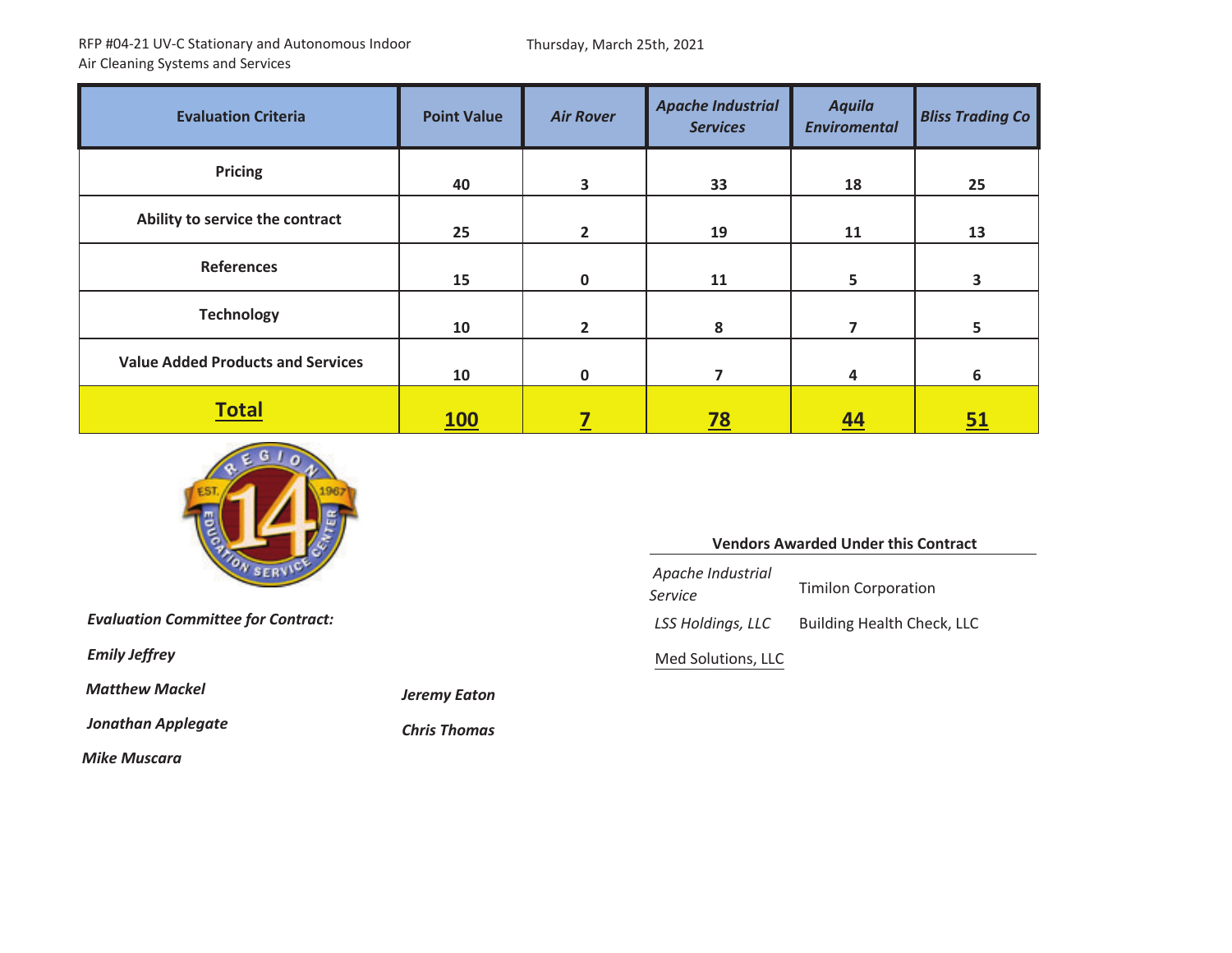Thursday, March 25th, 2021

| <b>Evaluation Criteria</b>               | <b>Point Value</b> | <b>Air Rover</b> | <b>Apache Industrial</b><br><b>Services</b> | <b>Aquila</b><br><b>Enviromental</b> | <b>Bliss Trading Co</b> |
|------------------------------------------|--------------------|------------------|---------------------------------------------|--------------------------------------|-------------------------|
| <b>Pricing</b>                           | 40                 | 3                | 33                                          | 18                                   | 25                      |
| Ability to service the contract          | 25                 | $\overline{2}$   | 19                                          | 11                                   | 13                      |
| <b>References</b>                        | 15                 | $\Omega$         | 11                                          | 5                                    | 3                       |
| <b>Technology</b>                        | 10                 | $\overline{2}$   | 8                                           | 7                                    | 5                       |
| <b>Value Added Products and Services</b> | 10                 | $\mathbf{0}$     | 7                                           | 4                                    | 6                       |
| <b>Total</b>                             | <b>100</b>         |                  | <u>78</u>                                   | 44                                   | <u>51</u>               |

*Mackel Jeremy Eaton*

**Chris Thomas** 



*Evaluation Committee for Contract: LSS*

*Emily Jeffrey* 

*Matthew*

*Jonathan Applegate Chris*

*Mike Muscara*

#### **Vendors Awarded Under this Contract**

*Apache Industrial Service* Timilon Corporation *Holdings, LLC* Building Health Check, LLC Med Solutions, LLC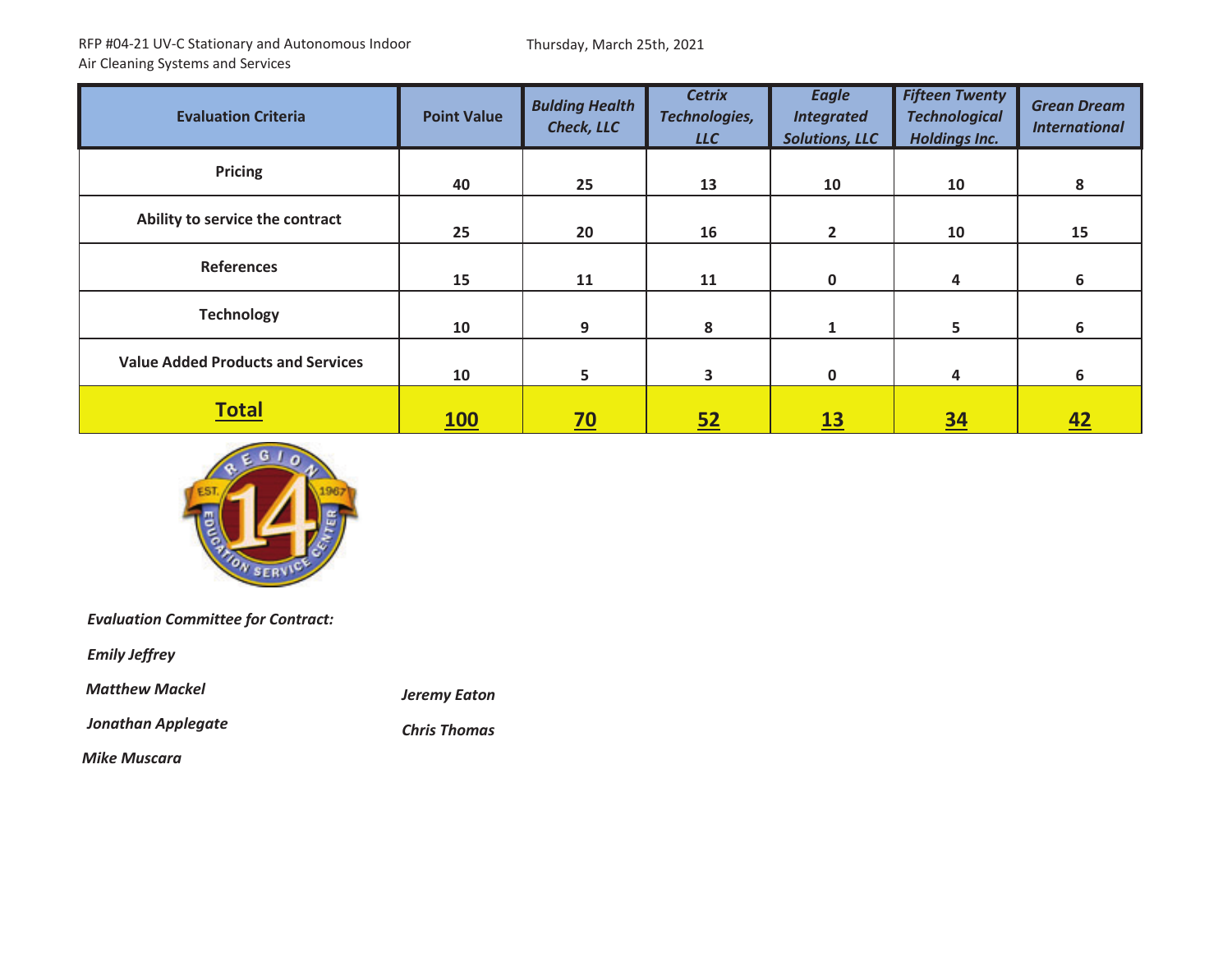Thursday, March 25th, 2021

| <b>Evaluation Criteria</b>               | <b>Point Value</b> | <b>Bulding Health</b><br><b>Check, LLC</b> | <b>Cetrix</b><br>Technologies,<br><b>LLC</b> | <b>Eagle</b><br><b>Integrated</b><br><b>Solutions, LLC</b> | <b>Fifteen Twenty</b><br><b>Technological</b><br><b>Holdings Inc.</b> | <b>Grean Dream</b><br><b>International</b> |
|------------------------------------------|--------------------|--------------------------------------------|----------------------------------------------|------------------------------------------------------------|-----------------------------------------------------------------------|--------------------------------------------|
| <b>Pricing</b>                           | 40                 | 25                                         | 13                                           | 10                                                         | 10                                                                    | 8                                          |
| Ability to service the contract          | 25                 | 20                                         | 16                                           | $\overline{2}$                                             | 10                                                                    | 15                                         |
| <b>References</b>                        | 15                 | 11                                         | 11                                           | $\mathbf{0}$                                               | 4                                                                     | 6                                          |
| <b>Technology</b>                        | 10                 | 9                                          | 8                                            |                                                            | 5                                                                     | 6                                          |
| <b>Value Added Products and Services</b> | 10                 | 5                                          | 3                                            | $\mathbf{0}$                                               | 4                                                                     | 6                                          |
| <b>Total</b>                             | <b>100</b>         | $\overline{20}$                            | 52                                           | 13                                                         | <u>34</u>                                                             | <u>42</u>                                  |



*Evaluation Committee for Contract:*

*Emily Jeffrey*

*Matthew*

*Jonathan Applegate Chris*

*Mackel Jeremy Eaton*

**Chris Thomas** 

*Mike Muscara*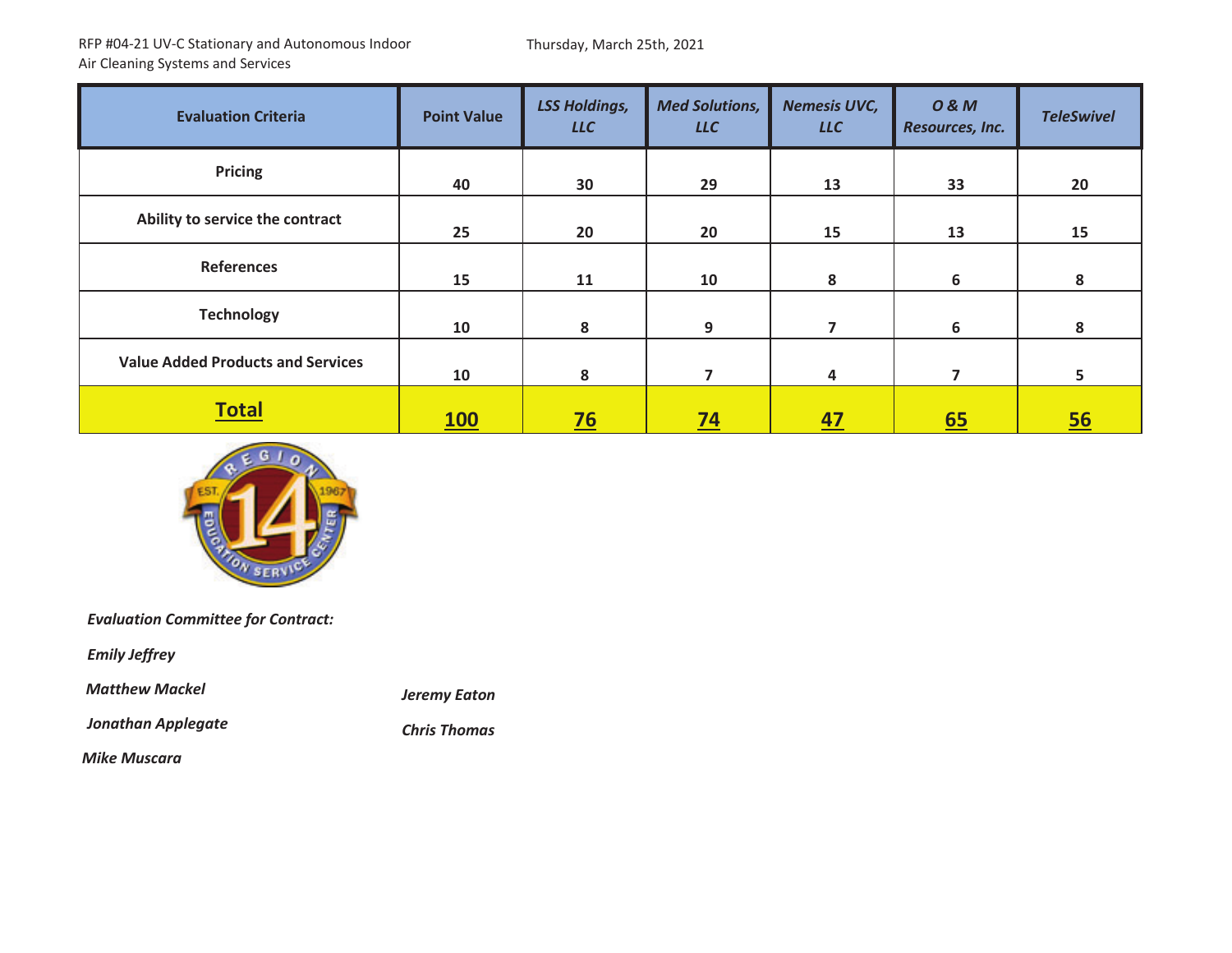Thursday, March 25th, 2021

| <b>Evaluation Criteria</b>               | <b>Point Value</b> | <b>LSS Holdings,</b><br><b>LLC</b> | <b>Med Solutions,</b><br><b>LLC</b> | <b>Nemesis UVC,</b><br><b>LLC</b> | <b>0&amp;M</b><br>Resources, Inc. | <b>TeleSwivel</b> |
|------------------------------------------|--------------------|------------------------------------|-------------------------------------|-----------------------------------|-----------------------------------|-------------------|
| <b>Pricing</b>                           | 40                 | 30                                 | 29                                  | 13                                | 33                                | 20                |
| Ability to service the contract          | 25                 | 20                                 | 20                                  | 15                                | 13                                | 15                |
| <b>References</b>                        | 15                 | 11                                 | 10                                  | 8                                 | 6                                 | 8                 |
| <b>Technology</b>                        | 10                 | 8                                  | 9                                   | 7                                 | 6                                 | 8                 |
| <b>Value Added Products and Services</b> | 10                 | 8                                  | 7                                   | 4                                 | 7                                 | 5                 |
| <b>Total</b>                             | <b>100</b>         | $\overline{26}$                    | <u>74</u>                           | <u>47</u>                         | 65                                | 56                |



*Evaluation Committee for Contract:*

*Emily Jeffrey*

*Matthew*

*Jonathan Applegate Chris*

*Mackel Jeremy Eaton*

**Chris Thomas** 

*Mike Muscara*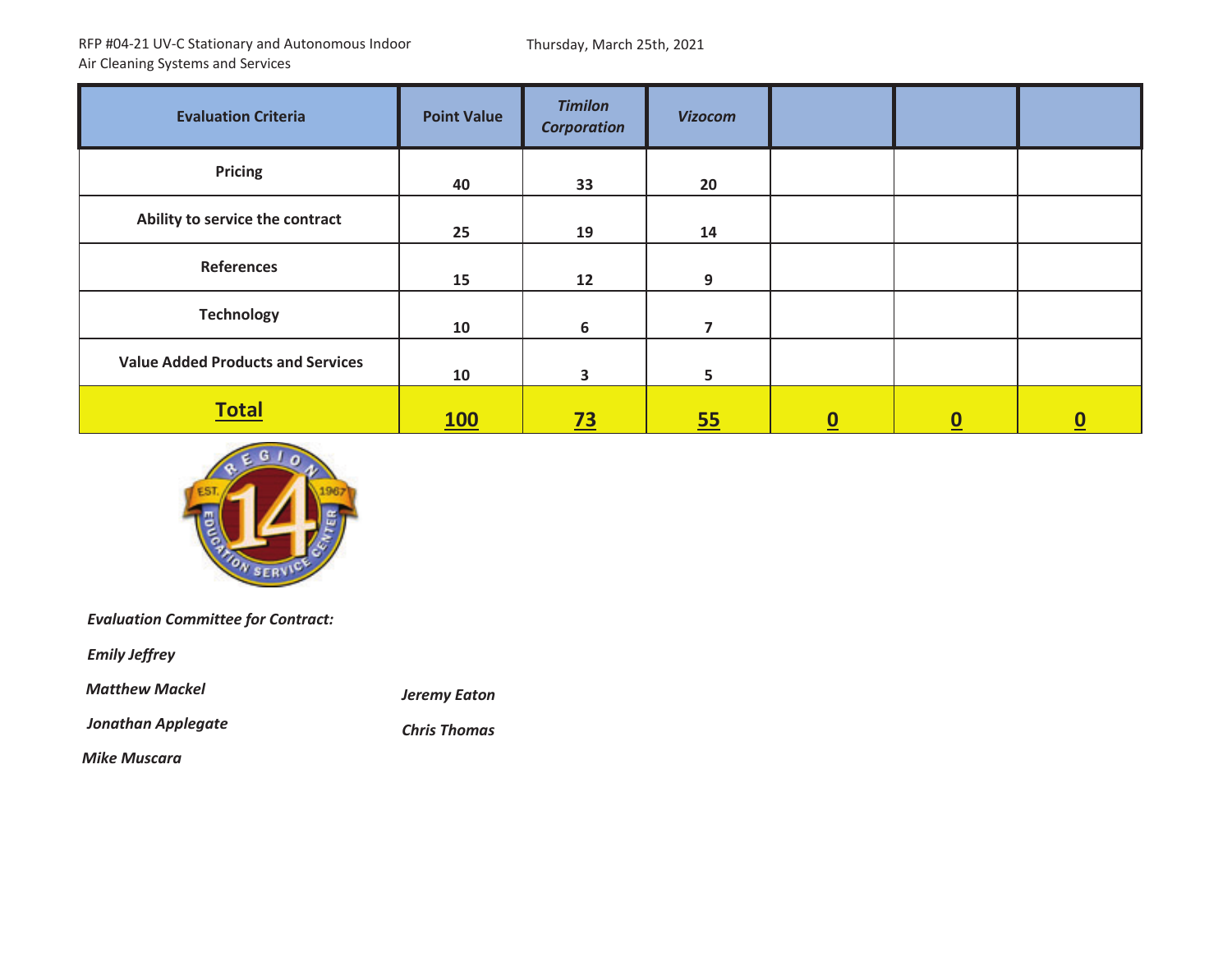Thursday, March 25th, 2021

| <b>Evaluation Criteria</b>               | <b>Point Value</b> | <b>Timilon</b><br><b>Corporation</b> | <b>Vizocom</b> |                          |                          |          |
|------------------------------------------|--------------------|--------------------------------------|----------------|--------------------------|--------------------------|----------|
| <b>Pricing</b>                           | 40                 | 33                                   | 20             |                          |                          |          |
| Ability to service the contract          | 25                 | 19                                   | 14             |                          |                          |          |
| <b>References</b>                        | 15                 | 12                                   | 9              |                          |                          |          |
| <b>Technology</b>                        | 10                 | 6                                    |                |                          |                          |          |
| <b>Value Added Products and Services</b> | 10                 | 3                                    | 5              |                          |                          |          |
| <b>Total</b>                             | <b>100</b>         | $\overline{23}$                      | 55             | $\underline{\mathbf{0}}$ | $\underline{\mathbf{0}}$ | <u>ပ</u> |



*Evaluation Committee for Contract:*

*Emily Jeffrey*

*Matthew*

*Jonathan Applegate Chris*

*Mackel Jeremy Eaton*

*Mike Muscara*

**Chris Thomas**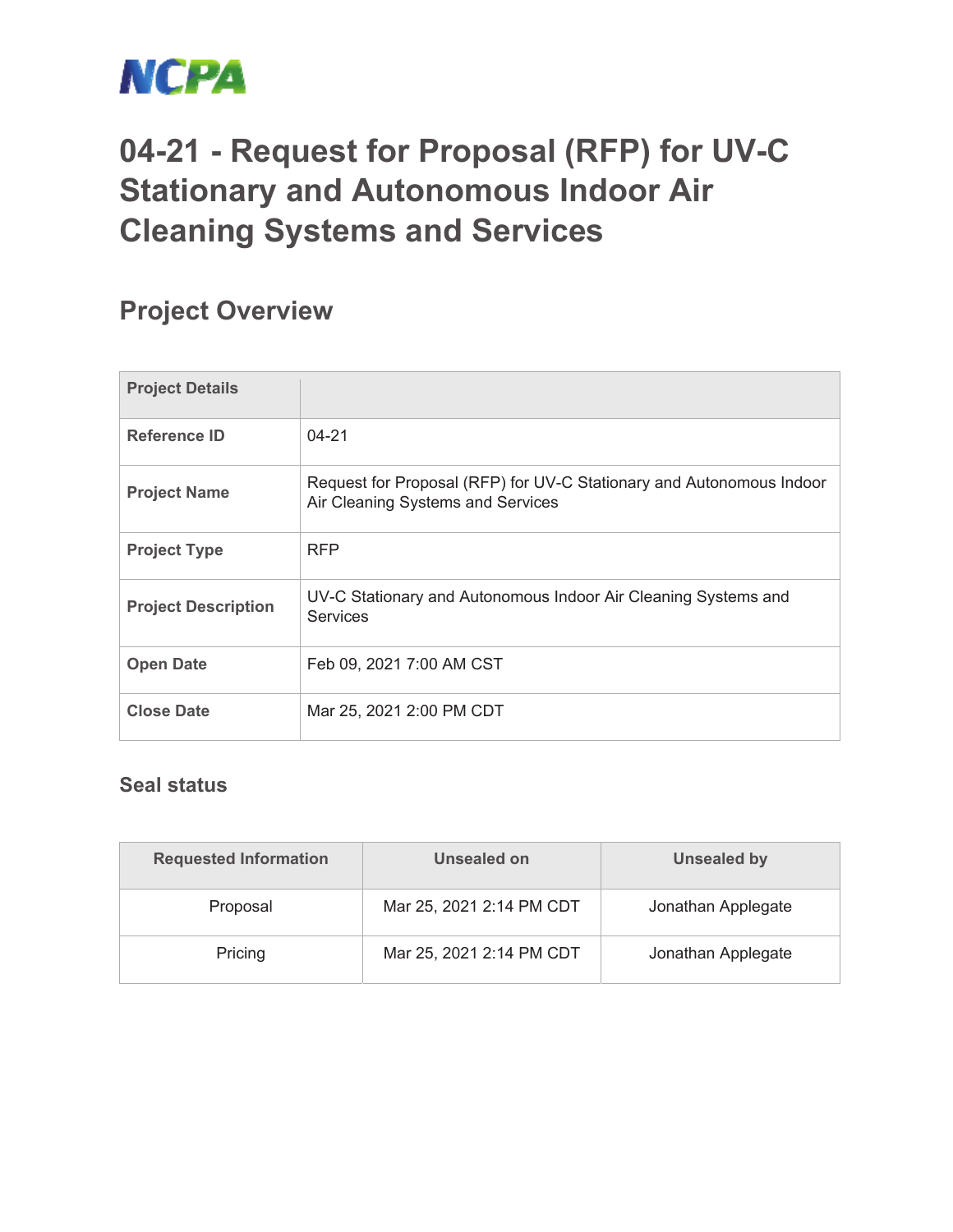

# **04-21 - Request for Proposal (RFP) for UV-C Stationary and Autonomous Indoor Air Cleaning Systems and Services**

## **Project Overview**

| <b>Project Details</b>     |                                                                                                           |
|----------------------------|-----------------------------------------------------------------------------------------------------------|
| Reference ID               | $04 - 21$                                                                                                 |
| <b>Project Name</b>        | Request for Proposal (RFP) for UV-C Stationary and Autonomous Indoor<br>Air Cleaning Systems and Services |
| <b>Project Type</b>        | <b>RFP</b>                                                                                                |
| <b>Project Description</b> | UV-C Stationary and Autonomous Indoor Air Cleaning Systems and<br><b>Services</b>                         |
| <b>Open Date</b>           | Feb 09, 2021 7:00 AM CST                                                                                  |
| <b>Close Date</b>          | Mar 25, 2021 2:00 PM CDT                                                                                  |

#### **Seal status**

| <b>Requested Information</b> | Unsealed on              | Unsealed by        |
|------------------------------|--------------------------|--------------------|
| Proposal                     | Mar 25, 2021 2:14 PM CDT | Jonathan Applegate |
| Pricing                      | Mar 25, 2021 2:14 PM CDT | Jonathan Applegate |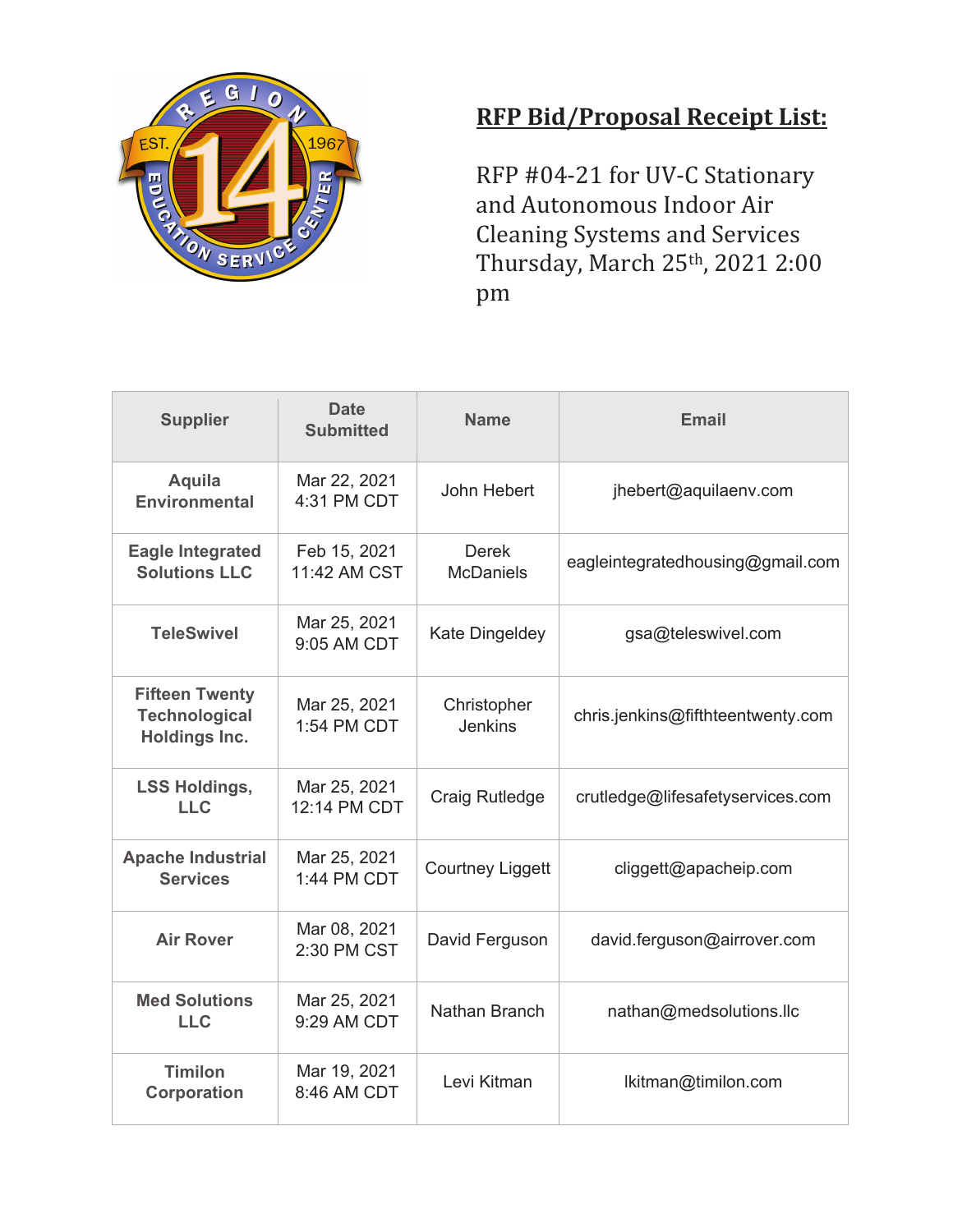

### **RFP Bid/Proposal Receipt List:**

RFP #04-21 for UV-C Stationary and Autonomous Indoor Air Cleaning Systems and Services Thursday, March 25th, 2021 2:00 pm

| <b>Supplier</b>                                                | <b>Date</b><br><b>Submitted</b> | <b>Name</b>                      | <b>Email</b>                      |
|----------------------------------------------------------------|---------------------------------|----------------------------------|-----------------------------------|
| Aquila<br><b>Environmental</b>                                 | Mar 22, 2021<br>4:31 PM CDT     | John Hebert                      | jhebert@aquilaenv.com             |
| <b>Eagle Integrated</b><br><b>Solutions LLC</b>                | Feb 15, 2021<br>11:42 AM CST    | <b>Derek</b><br><b>McDaniels</b> | eagleintegratedhousing@gmail.com  |
| <b>TeleSwivel</b>                                              | Mar 25, 2021<br>9:05 AM CDT     | Kate Dingeldey                   | gsa@teleswivel.com                |
| <b>Fifteen Twenty</b><br><b>Technological</b><br>Holdings Inc. | Mar 25, 2021<br>1:54 PM CDT     | Christopher<br><b>Jenkins</b>    | chris.jenkins@fifthteentwenty.com |
| <b>LSS Holdings,</b><br><b>LLC</b>                             | Mar 25, 2021<br>12:14 PM CDT    | Craig Rutledge                   | crutledge@lifesafetyservices.com  |
| <b>Apache Industrial</b><br><b>Services</b>                    | Mar 25, 2021<br>1:44 PM CDT     | <b>Courtney Liggett</b>          | cliggett@apacheip.com             |
| <b>Air Rover</b>                                               | Mar 08, 2021<br>2:30 PM CST     | David Ferguson                   | david.ferguson@airrover.com       |
| <b>Med Solutions</b><br><b>LLC</b>                             | Mar 25, 2021<br>9:29 AM CDT     | Nathan Branch                    | nathan@medsolutions.llc           |
| <b>Timilon</b><br><b>Corporation</b>                           | Mar 19, 2021<br>8:46 AM CDT     | Levi Kitman                      | lkitman@timilon.com               |